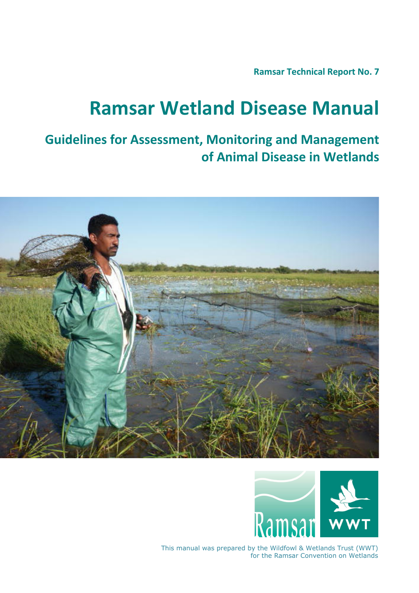**Ramsar Technical Report No. 7** 

## **Ramsar Wetland Disease Manual**

**Guidelines for Assessment, Monitoring and Management of Animal Disease in Wetlands** 





This manual was prepared by the Wildfowl & Wetlands Trust (WWT) for the Ramsar Convention on Wetlands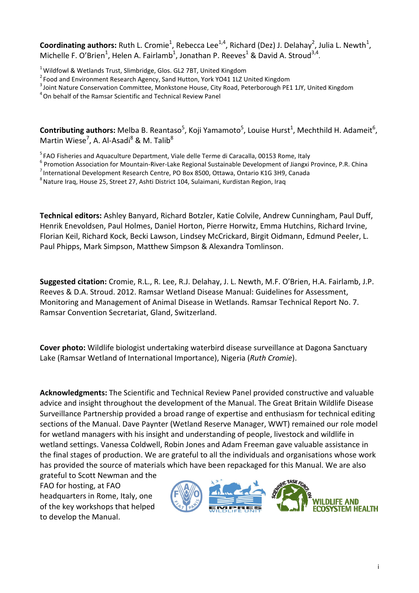Coordinating authors: Ruth L. Cromie<sup>1</sup>, Rebecca Lee<sup>1,4</sup>, Richard (Dez) J. Delahay<sup>2</sup>, Julia L. Newth<sup>1</sup>, Michelle F. O'Brien<sup>1</sup>, Helen A. Fairlamb<sup>1</sup>, Jonathan P. Reeves<sup>1</sup> & David A. Stroud<sup>3,4</sup>.

Contributing authors: Melba B. Reantaso<sup>5</sup>, Koji Yamamoto<sup>5</sup>, Louise Hurst<sup>1</sup>, Mechthild H. Adameit<sup>6</sup>, Martin Wiese<sup>7</sup>, A. Al-Asadi<sup>8</sup> & M. Talib<sup>8</sup>

<sup>5</sup> FAO Fisheries and Aquaculture Department, Viale delle Terme di Caracalla, 00153 Rome, Italy

<sup>6</sup> Promotion Association for Mountain-River-Lake Regional Sustainable Development of Jiangxi Province, P.R. China

<sup>7</sup> International Development Research Centre, PO Box 8500, Ottawa, Ontario K1G 3H9, Canada

**Technical editors:** Ashley Banyard, Richard Botzler, Katie Colvile, Andrew Cunningham Cunningham, Paul Duff, Henrik Enevoldsen, Paul Holmes, Daniel Horton, Pierre Horwitz, Emma Hutchins, Richard Irvine, Florian Keil, Richard Kock, Becki Lawson, Lindsey McCrickard, Birgit Oidmann, Edmund Peeler, L. Paul Phipps, Mark Simpson, Matthew Simpson & Alexandra Tomlinson.

Suggested citation: Cromie, R.L., R. Lee, R.J. Delahay, J. L. Newth, M.F. O'Brien, H.A. Fairlamb, J.P. Reeves & D.A. Stroud. 2012. Ramsar Wetland Disease Manual: Guidelines for Assessment, Monitoring and Management of Animal Disease in Wetlands. Ramsar Technical Report No. 7. Ramsar Convention Secretariat, Gland, Switzerland.

Cover photo: Wildlife biologist undertaking waterbird disease surveillance at Dagona Sanctuary Lake (Ramsar Wetland of International Importance), Nigeria (Ruth Cromie).

**Acknowledgments:** The Scientific and Technical Review Panel provided constructive and valuable advice and insight throughout the development of the Manual. The Great Britain Wildlife Disease advice and insight throughout the development of the Manual. The Great Britain Wildlife Disease<br>Surveillance Partnership provided a broad range of expertise and enthusiasm for technical editing sections of the Manual. Dave Paynter (Wetland Reserve Manager, WWT) remained our role model for wetland managers with his insight and understanding of people, livestock and wildlife in wetland settings. Vanessa Coldwell, Robin Jones and Adam Freeman gave valuable assistance in the final stages of production. We are grateful to all the individuals and organisations whose work has provided the source of materials which have been repackaged for this Manual. We are also

grateful to Scott Newman and the FAO for hosting, at FAO headquarters in Rome, Italy, one of the key workshops that helped to develop the Manual.



 $1$  Wildfowl & Wetlands Trust, Slimbridge, Glos. GL2 7BT, United Kingdom

 $2$  Food and Environment Research Agency, Sand Hutton, York YO41 1LZ United Kingdom

 $3$ Joint Nature Conservation Committee, Monkstone House, City Road, Peterborough PE1 1JY, United Kingdom

<sup>&</sup>lt;sup>4</sup> On behalf of the Ramsar Scientific and Technical Review Panel

 $^8$ Nature Iraq, House 25, Street 27, Ashti District 104, Sulaimani, Kurdistan Region, Iraq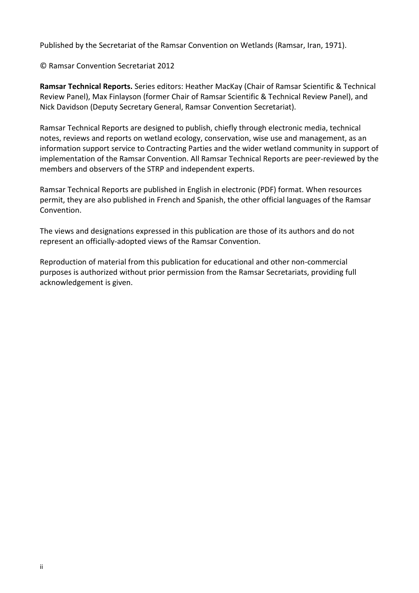Published by the Secretariat of the Ramsar Convention on Wetlands (Ramsar, Iran, 1971).

© Ramsar Convention Secretariat 2012

**Ramsar Technical Reports.** Series editors: Heather MacKay (Chair of Ramsar Scientific & Technical Review Panel), Max Finlayson (former Chair of Ramsar Scientific & Technical Review Panel), and Nick Davidson (Deputy Secretary General, Ramsar Convention Secretariat).

Ramsar Technical Reports are designed to publish, chiefly through electronic media, technical notes, reviews and reports on wetland ecology, conservation, wise use and management, as an information support service to Contracting Parties and the wider wetland community in support of implementation of the Ramsar Convention. All Ramsar Technical Reports are peer-reviewed by the members and observers of the STRP and independent experts.

Ramsar Technical Reports are published in English in electronic (PDF) format. When resources permit, they are also published in French and Spanish, the other official languages of the Ramsar Convention.

The views and designations expressed in this publication are those of its authors and do not represent an officially-adopted views of the Ramsar Convention.

Reproduction of material from this publication for educational and other non-commercial purposes is authorized without prior permission from the Ramsar Secretariats, providing full acknowledgement is given.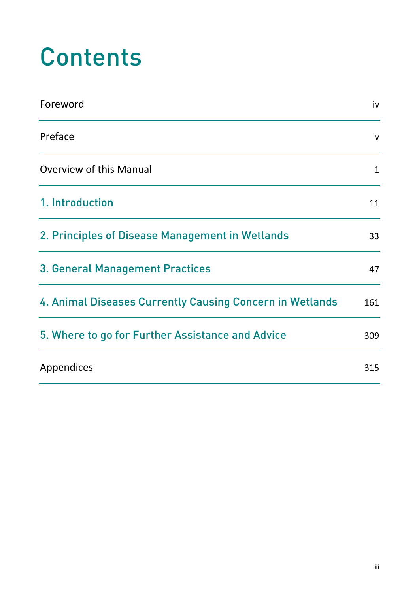# **Contents**

| Foreword                                                 | iv           |
|----------------------------------------------------------|--------------|
| Preface                                                  | $\mathsf{V}$ |
| Overview of this Manual                                  | $\mathbf{1}$ |
| 1. Introduction                                          | 11           |
| 2. Principles of Disease Management in Wetlands          | 33           |
| <b>3. General Management Practices</b>                   | 47           |
| 4. Animal Diseases Currently Causing Concern in Wetlands | 161          |
| 5. Where to go for Further Assistance and Advice         | 309          |
| Appendices                                               | 315          |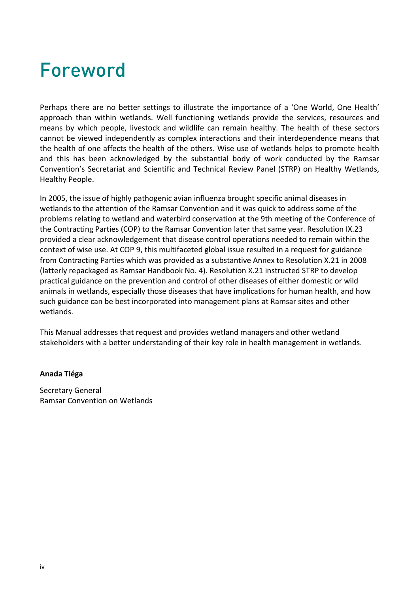# Foreword

Perhaps there are no better settings to illustrate the importance of a 'One World, One Health' approach than within wetlands. Well functioning wetlands provide the services, resources and means by which people, livestock and wildlife can remain healthy. The health of these sectors cannot be viewed independently as complex interactions and their interdependence means that the health of one affects the health of the others. Wise use of wetlands helps to promote health and this has been acknowledged by the substantial body of work conducted by the Ramsar Convention's Secretariat and Scientific and Technical Review Panel (STRP) on Healthy Wetlands, Healthy People.

In 2005, the issue of highly pathogenic avian influenza brought specific animal diseases in wetlands to the attention of the Ramsar Convention and it was quick to address some of the problems relating to wetland and waterbird conservation at the 9th meeting of the Conference of the Contracting Parties (COP) to the Ramsar Convention later that same year. Resolution IX.23 provided a clear acknowledgement that disease control operations needed to remain within the context of wise use. At COP 9, this multifaceted global issue resulted in a request for guidance from Contracting Parties which was provided as a substantive Annex to Resolution X.21 in 2008 (latterly repackaged as Ramsar Handbook No. 4). Resolution X.21 instructed STRP to develop practical guidance on the prevention and control of other diseases of either domestic or wild animals in wetlands, especially those diseases that have implications for human health, and how such guidance can be best incorporated into management plans at Ramsar sites and other wetlands.

This Manual addresses that request and provides wetland managers and other wetland stakeholders with a better understanding of their key role in health management in wetlands.

#### **Anada Tiéga**

Secretary General Ramsar Convention on Wetlands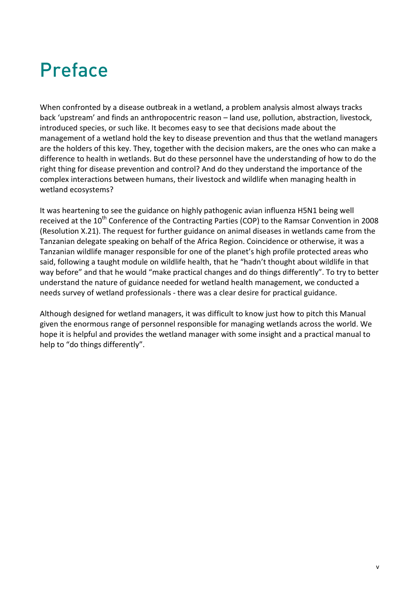# Preface

When confronted by a disease outbreak in a wetland, a problem analysis almost always tracks back 'upstream' and finds an anthropocentric reason – land use, pollution, abstraction, livestock, introduced species, or such like. It becomes easy to see that decisions made about the management of a wetland hold the key to disease prevention and thus that the wetland managers are the holders of this key. They, together with the decision makers, are the ones who can make a difference to health in wetlands. But do these personnel have the understanding of how to do the right thing for disease prevention and control? And do they understand the importance of the complex interactions between humans, their livestock and wildlife when managing health in wetland ecosystems?

It was heartening to see the guidance on highly pathogenic avian influenza H5N1 being well received at the 10<sup>th</sup> Conference of the Contracting Parties (COP) to the Ramsar Convention in 2008 (Resolution X.21). The request for further guidance on animal diseases in wetlands came from the Tanzanian delegate speaking on behalf of the Africa Region. Coincidence or otherwise, it was a Tanzanian wildlife manager responsible for one of the planet's high profile protected areas who said, following a taught module on wildlife health, that he "hadn't thought about wildlife in that way before" and that he would "make practical changes and do things differently". To try to better understand the nature of guidance needed for wetland health management, we conducted a needs survey of wetland professionals - there was a clear desire for practical guidance.

Although designed for wetland managers, it was difficult to know just how to pitch this Manual given the enormous range of personnel responsible for managing wetlands across the world. We hope it is helpful and provides the wetland manager with some insight and a practical manual to help to "do things differently".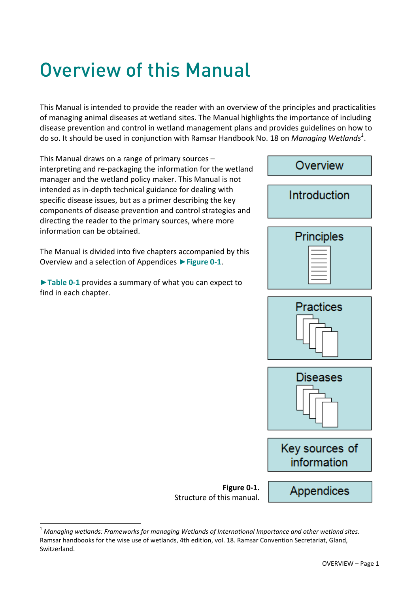# Overview of this Manual

This Manual is intended to provide the reader with an overview of the principles and practicalities of managing animal diseases at wetland sites. The Manual highlights the importance of including disease prevention and control in wetland management plans and provides guidelines on how to do so. It should be used in conjunction with Ramsar Handbook No. 18 on *Managing Wetlands<sup>1</sup>* .

This Manual draws on a range of primary sources – interpreting and re-packaging the information for the wetland manager and the wetland policy maker. This Manual is not intended as in-depth technical guidance for dealing with specific disease issues, but as a primer describing the key components of disease prevention and control strategies and directing the reader to the primary sources, where more information can be obtained.

The Manual is divided into five chapters accompanied by this Overview and a selection of Appendices **►Figure 0-1**.

**►Table 0-1** provides a summary of what you can expect to find in each chapter.

i,

Overview Introduction **Principles** 





Key sources of information

**Figure 0-1.**  Structure of this manual.

Appendices

<sup>1</sup> *Managing wetlands: Frameworks for managing Wetlands of International Importance and other wetland sites.*  Ramsar handbooks for the wise use of wetlands, 4th edition, vol. 18. Ramsar Convention Secretariat, Gland, Switzerland.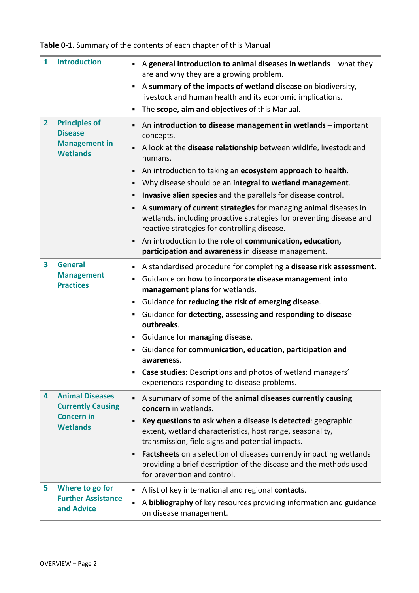**Table 0-1.** Summary of the contents of each chapter of this Manual

| 1              | <b>Introduction</b>                                                                        | A general introduction to animal diseases in wetlands - what they<br>are and why they are a growing problem.<br>A summary of the impacts of wetland disease on biodiversity,<br>٠<br>livestock and human health and its economic implications.<br>The scope, aim and objectives of this Manual.<br>٠                                                                                                                                                                                                                                                                                                                                                                                               |
|----------------|--------------------------------------------------------------------------------------------|----------------------------------------------------------------------------------------------------------------------------------------------------------------------------------------------------------------------------------------------------------------------------------------------------------------------------------------------------------------------------------------------------------------------------------------------------------------------------------------------------------------------------------------------------------------------------------------------------------------------------------------------------------------------------------------------------|
| $\overline{2}$ | <b>Principles of</b><br><b>Disease</b><br><b>Management in</b><br><b>Wetlands</b>          | An introduction to disease management in wetlands - important<br>٠<br>concepts.<br>A look at the <b>disease relationship</b> between wildlife, livestock and<br>٠<br>humans.<br>An introduction to taking an ecosystem approach to health.<br>٠<br>Why disease should be an integral to wetland management.<br>Invasive alien species and the parallels for disease control.<br>٠<br>A summary of current strategies for managing animal diseases in<br>wetlands, including proactive strategies for preventing disease and<br>reactive strategies for controlling disease.<br>An introduction to the role of communication, education,<br>٠<br>participation and awareness in disease management. |
| 3              | <b>General</b><br><b>Management</b><br><b>Practices</b>                                    | A standardised procedure for completing a disease risk assessment.<br>٠<br>Guidance on how to incorporate disease management into<br>٠<br>management plans for wetlands.<br>Guidance for reducing the risk of emerging disease.<br>٠<br>Guidance for detecting, assessing and responding to disease<br>٠<br>outbreaks.<br>Guidance for managing disease.<br>٠<br>Guidance for communication, education, participation and<br>٠<br>awareness.<br>Case studies: Descriptions and photos of wetland managers'<br>experiences responding to disease problems.                                                                                                                                          |
| 4              | <b>Animal Diseases</b><br><b>Currently Causing</b><br><b>Concern in</b><br><b>Wetlands</b> | A summary of some of the animal diseases currently causing<br>٠<br>concern in wetlands.<br>Key questions to ask when a disease is detected: geographic<br>п<br>extent, wetland characteristics, host range, seasonality,<br>transmission, field signs and potential impacts.<br>Factsheets on a selection of diseases currently impacting wetlands<br>$\blacksquare$<br>providing a brief description of the disease and the methods used<br>for prevention and control.                                                                                                                                                                                                                           |
| 5              | Where to go for<br><b>Further Assistance</b><br>and Advice                                 | A list of key international and regional contacts.<br>٠<br>A bibliography of key resources providing information and guidance<br>٠<br>on disease management.                                                                                                                                                                                                                                                                                                                                                                                                                                                                                                                                       |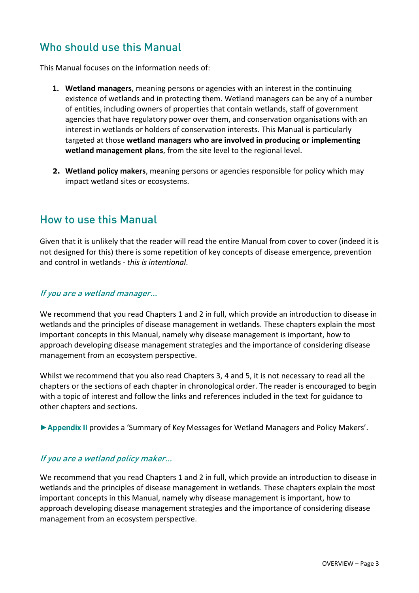### Who should use this Manual

This Manual focuses on the information needs of:

- **1. Wetland managers**, meaning persons or agencies with an interest in the continuing existence of wetlands and in protecting them. Wetland managers can be any of a number of entities, including owners of properties that contain wetlands, staff of government agencies that have regulatory power over them, and conservation organisations with an interest in wetlands or holders of conservation interests. This Manual is particularly targeted at those **wetland managers who are involved in producing or implementing wetland management plans**, from the site level to the regional level.
- **2. Wetland policy makers**, meaning persons or agencies responsible for policy which may impact wetland sites or ecosystems.

### How to use this Manual

Given that it is unlikely that the reader will read the entire Manual from cover to cover (indeed it is not designed for this) there is some repetition of key concepts of disease emergence, prevention and control in wetlands - *this is intentional*.

#### If you are a wetland manager…

We recommend that you read Chapters 1 and 2 in full, which provide an introduction to disease in wetlands and the principles of disease management in wetlands. These chapters explain the most important concepts in this Manual, namely why disease management is important, how to approach developing disease management strategies and the importance of considering disease management from an ecosystem perspective.

Whilst we recommend that you also read Chapters 3, 4 and 5, it is not necessary to read all the chapters or the sections of each chapter in chronological order. The reader is encouraged to begin with a topic of interest and follow the links and references included in the text for guidance to other chapters and sections.

**►Appendix II** provides a 'Summary of Key Messages for Wetland Managers and Policy Makers'.

#### If you are a wetland policy maker…

We recommend that you read Chapters 1 and 2 in full, which provide an introduction to disease in wetlands and the principles of disease management in wetlands. These chapters explain the most important concepts in this Manual, namely why disease management is important, how to approach developing disease management strategies and the importance of considering disease management from an ecosystem perspective.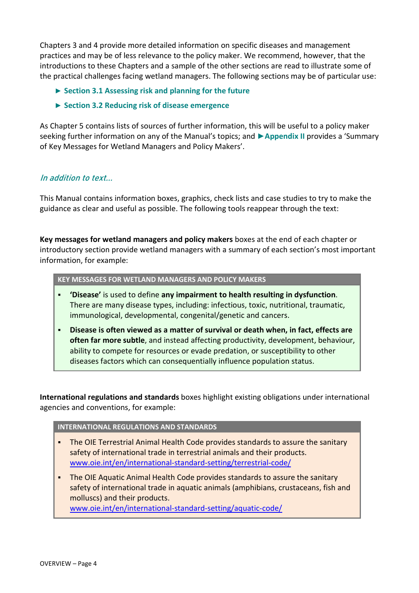Chapters 3 and 4 provide more detailed information on specific diseases and management practices and may be of less relevance to the policy maker. We recommend, however, that the introductions to these Chapters and a sample of the other sections are read to illustrate some of the practical challenges facing wetland managers. The following sections may be of particular use:

- **► Section 3.1 Assessing risk and planning for the future**
- **► Section 3.2 Reducing risk of disease emergence**

As Chapter 5 contains lists of sources of further information, this will be useful to a policy maker seeking further information on any of the Manual's topics; and **►Appendix II** provides a 'Summary of Key Messages for Wetland Managers and Policy Makers'.

#### In addition to text…

This Manual contains information boxes, graphics, check lists and case studies to try to make the guidance as clear and useful as possible. The following tools reappear through the text:

**Key messages for wetland managers and policy makers** boxes at the end of each chapter or introductory section provide wetland managers with a summary of each section's most important information, for example:

**KEY MESSAGES FOR WETLAND MANAGERS AND POLICY MAKERS**

- **'Disease'** is used to define **any impairment to health resulting in dysfunction**. There are many disease types, including: infectious, toxic, nutritional, traumatic, immunological, developmental, congenital/genetic and cancers.
- **Disease is often viewed as a matter of survival or death when, in fact, effects are often far more subtle**, and instead affecting productivity, development, behaviour, ability to compete for resources or evade predation, or susceptibility to other diseases factors which can consequentially influence population status.

**International regulations and standards** boxes highlight existing obligations under international agencies and conventions, for example:

**INTERNATIONAL REGULATIONS AND STANDARDS**

- The OIE Terrestrial Animal Health Code provides standards to assure the sanitary safety of international trade in terrestrial animals and their products. www.oie.int/en/international-standard-setting/terrestrial-code/
- The OIE Aquatic Animal Health Code provides standards to assure the sanitary safety of international trade in aquatic animals (amphibians, crustaceans, fish and molluscs) and their products.

www.oie.int/en/international-standard-setting/aquatic-code/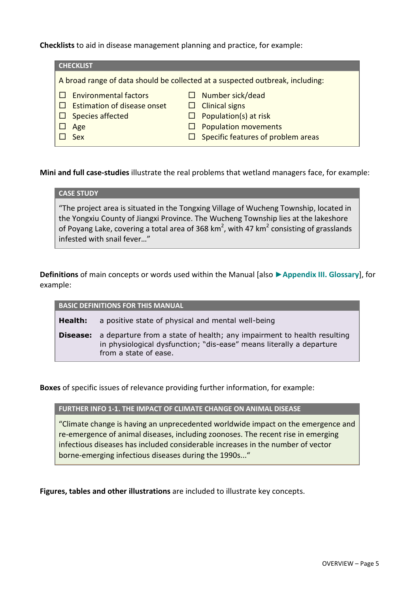**Checklists** to aid in disease management planning and practice, for example:

| <b>CHECKLIST</b>                                                              |                                    |  |                                           |  |
|-------------------------------------------------------------------------------|------------------------------------|--|-------------------------------------------|--|
| A broad range of data should be collected at a suspected outbreak, including: |                                    |  |                                           |  |
|                                                                               | $\Box$ Environmental factors       |  | Number sick/dead                          |  |
|                                                                               | <b>Estimation of disease onset</b> |  | $\Box$ Clinical signs                     |  |
|                                                                               | $\Box$ Species affected            |  | Population(s) at risk                     |  |
|                                                                               | Age                                |  | <b>Population movements</b>               |  |
|                                                                               | <b>Sex</b>                         |  | $\Box$ Specific features of problem areas |  |
|                                                                               |                                    |  |                                           |  |

**Mini and full case-studies** illustrate the real problems that wetland managers face, for example:

#### **CASE STUDY**

"The project area is situated in the Tongxing Village of Wucheng Township, located in the Yongxiu County of Jiangxi Province. The Wucheng Township lies at the lakeshore of Poyang Lake, covering a total area of 368 km<sup>2</sup>, with 47 km<sup>2</sup> consisting of grasslands infested with snail fever…"

**Definitions** of main concepts or words used within the Manual [also **►Appendix III. Glossary**], for example:

#### **BASIC DEFINITIONS FOR THIS MANUAL**

**Health:** a positive state of physical and mental well-being

**Disease:** a departure from a state of health; any impairment to health resulting in physiological dysfunction; "dis-ease" means literally a departure from a state of ease.

**Boxes** of specific issues of relevance providing further information, for example:

**FURTHER INFO 1-1. THE IMPACT OF CLIMATE CHANGE ON ANIMAL DISEASE** 

"Climate change is having an unprecedented worldwide impact on the emergence and re-emergence of animal diseases, including zoonoses. The recent rise in emerging infectious diseases has included considerable increases in the number of vector borne-emerging infectious diseases during the 1990s..."

**Figures, tables and other illustrations** are included to illustrate key concepts.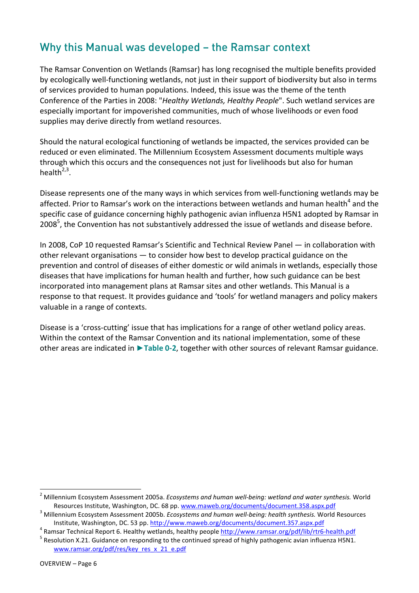### Why this Manual was developed – the Ramsar context

The Ramsar Convention on Wetlands (Ramsar) has long recognised the multiple benefits provided by ecologically well-functioning wetlands, not just in their support of biodiversity but also in terms of services provided to human populations. Indeed, this issue was the theme of the tenth Conference of the Parties in 2008: "*Healthy Wetlands, Healthy People*". Such wetland services are especially important for impoverished communities, much of whose livelihoods or even food supplies may derive directly from wetland resources.

Should the natural ecological functioning of wetlands be impacted, the services provided can be reduced or even eliminated. The Millennium Ecosystem Assessment documents multiple ways through which this occurs and the consequences not just for livelihoods but also for human health $2,3$ .

Disease represents one of the many ways in which services from well-functioning wetlands may be affected. Prior to Ramsar's work on the interactions between wetlands and human health<sup>4</sup> and the specific case of guidance concerning highly pathogenic avian influenza H5N1 adopted by Ramsar in 2008<sup>5</sup>, the Convention has not substantively addressed the issue of wetlands and disease before.

In 2008, CoP 10 requested Ramsar's Scientific and Technical Review Panel — in collaboration with other relevant organisations — to consider how best to develop practical guidance on the prevention and control of diseases of either domestic or wild animals in wetlands, especially those diseases that have implications for human health and further, how such guidance can be best incorporated into management plans at Ramsar sites and other wetlands. This Manual is a response to that request. It provides guidance and 'tools' for wetland managers and policy makers valuable in a range of contexts.

Disease is a 'cross-cutting' issue that has implications for a range of other wetland policy areas. Within the context of the Ramsar Convention and its national implementation, some of these other areas are indicated in **►Table 0-2**, together with other sources of relevant Ramsar guidance.

l

<sup>2</sup> Millennium Ecosystem Assessment 2005a. *Ecosystems and human well-being: wetland and water synthesis.* World Resources Institute, Washington, DC. 68 pp. www.maweb.org/documents/document.358.aspx.pdf

<sup>3</sup> Millennium Ecosystem Assessment 2005b. *Ecosystems and human well-being: health synthesis.* World Resources Institute, Washington, DC. 53 pp. http://www.maweb.org/documents/document.357.aspx.pdf

<sup>&</sup>lt;sup>4</sup> Ramsar Technical Report 6. Healthy wetlands, healthy people http://www.ramsar.org/pdf/lib/rtr6-health.pdf

<sup>&</sup>lt;sup>5</sup> Resolution X.21. Guidance on responding to the continued spread of highly pathogenic avian influenza H5N1. www.ramsar.org/pdf/res/key\_res\_x\_21\_e.pdf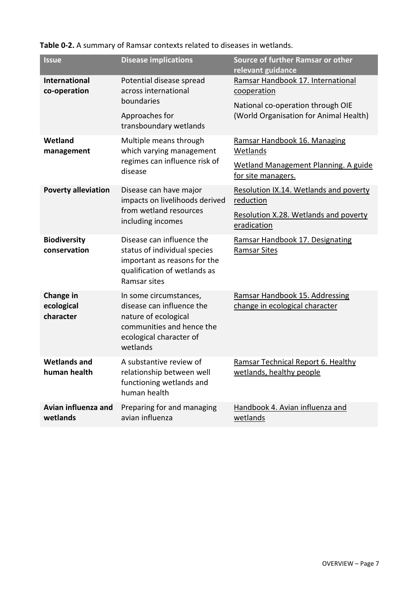| Table 0-2. A summary of Ramsar contexts related to diseases in wetlands. |  |  |  |
|--------------------------------------------------------------------------|--|--|--|
|--------------------------------------------------------------------------|--|--|--|

| <b>Issue</b>                         | <b>Disease implications</b>                                                                                                                     | Source of further Ramsar or other<br>relevant guidance                      |
|--------------------------------------|-------------------------------------------------------------------------------------------------------------------------------------------------|-----------------------------------------------------------------------------|
| <b>International</b><br>co-operation | Potential disease spread<br>across international                                                                                                | Ramsar Handbook 17. International<br>cooperation                            |
|                                      | boundaries<br>Approaches for<br>transboundary wetlands                                                                                          | National co-operation through OIE<br>(World Organisation for Animal Health) |
| Wetland<br>management                | Multiple means through<br>which varying management                                                                                              | Ramsar Handbook 16. Managing<br>Wetlands                                    |
|                                      | regimes can influence risk of<br>disease                                                                                                        | Wetland Management Planning. A guide<br>for site managers.                  |
| <b>Poverty alleviation</b>           | Disease can have major<br>impacts on livelihoods derived                                                                                        | Resolution IX.14. Wetlands and poverty<br>reduction                         |
|                                      | from wetland resources<br>including incomes                                                                                                     | Resolution X.28. Wetlands and poverty<br>eradication                        |
| <b>Biodiversity</b><br>conservation  | Disease can influence the<br>status of individual species<br>important as reasons for the<br>qualification of wetlands as<br>Ramsar sites       | Ramsar Handbook 17. Designating<br><b>Ramsar Sites</b>                      |
| Change in<br>ecological<br>character | In some circumstances,<br>disease can influence the<br>nature of ecological<br>communities and hence the<br>ecological character of<br>wetlands | Ramsar Handbook 15. Addressing<br>change in ecological character            |
| <b>Wetlands and</b><br>human health  | A substantive review of<br>relationship between well<br>functioning wetlands and<br>human health                                                | Ramsar Technical Report 6. Healthy<br>wetlands, healthy people              |
| Avian influenza and<br>wetlands      | Preparing for and managing<br>avian influenza                                                                                                   | Handbook 4. Avian influenza and<br>wetlands                                 |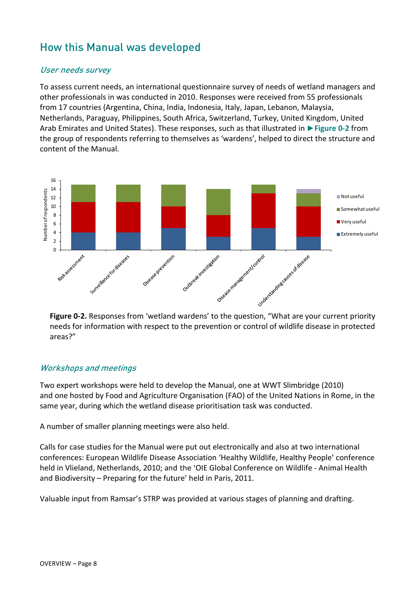### How this Manual was developed

#### User needs survey

To assess current needs, an international questionnaire survey of needs of wetland managers and other professionals in was conducted in 2010. Responses were received from 55 professionals from 17 countries (Argentina, China, India, Indonesia, Italy, Japan, Lebanon, Malaysia, Netherlands, Paraguay, Philippines, South Africa, Switzerland, Turkey, United Kingdom, United Arab Emirates and United States). These responses, such as that illustrated in **►Figure 0-2** from the group of respondents referring to themselves as 'wardens', helped to direct the structure and content of the Manual.



needs for information with respect to the prevention or control of wildlife disease in protected areas?"

#### Workshops and meetings

Two expert workshops were held to develop the Manual, one at WWT Slimbridge (2010) and one hosted by Food and Agriculture Organisation (FAO) of the United Nations in Rome, in the same year, during which the wetland disease prioritisation task was conducted.

A number of smaller planning meetings were also held.

Calls for case studies for the Manual were put out electronically and also at two international conferences: European Wildlife Disease Association 'Healthy Wildlife, Healthy People' conference held in Vlieland, Netherlands, 2010; and the 'OIE Global Conference on Wildlife - Animal Health and Biodiversity – Preparing for the future' held in Paris, 2011.

Valuable input from Ramsar's STRP was provided at various stages of planning and drafting.